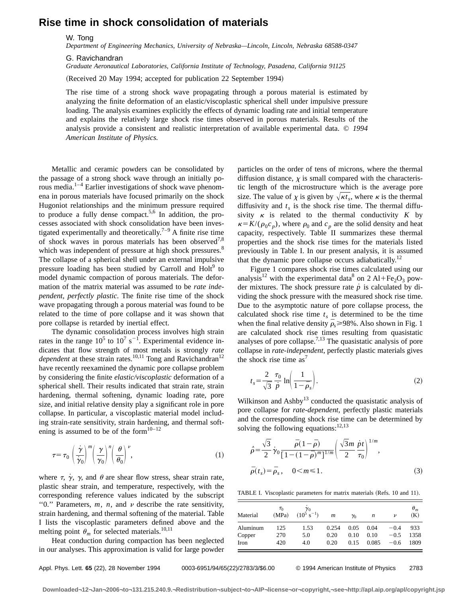## **Rise time in shock consolidation of materials**

W. Tong

*Department of Engineering Mechanics, University of Nebraska—Lincoln, Lincoln, Nebraska 68588-0347*

G. Ravichandran

*Graduate Aeronautical Laboratories, California Institute of Technology, Pasadena, California 91125*

(Received 20 May 1994; accepted for publication 22 September 1994)

The rise time of a strong shock wave propagating through a porous material is estimated by analyzing the finite deformation of an elastic/viscoplastic spherical shell under impulsive pressure loading. The analysis examines explicitly the effects of dynamic loading rate and initial temperature and explains the relatively large shock rise times observed in porous materials. Results of the analysis provide a consistent and realistic interpretation of available experimental data. © *1994 American Institute of Physics.*

Metallic and ceramic powders can be consolidated by the passage of a strong shock wave through an initially porous media.1–4 Earlier investigations of shock wave phenomena in porous materials have focused primarily on the shock Hugoniot relationships and the minimum pressure required to produce a fully dense compact.<sup>5,6</sup> In addition, the processes associated with shock consolidation have been investigated experimentally and theoretically.<sup>7–9</sup> A finite rise time of shock waves in porous materials has been observed<sup>7,8</sup> which was independent of pressure at high shock pressures.<sup>8</sup> The collapse of a spherical shell under an external impulsive pressure loading has been studied by Carroll and Holt<sup>9</sup> to model dynamic compaction of porous materials. The deformation of the matrix material was assumed to be *rate independent, perfectly plastic*. The finite rise time of the shock wave propagating through a porous material was found to be related to the time of pore collapse and it was shown that pore collapse is retarded by inertial effect.

The dynamic consolidation process involves high strain rates in the range  $10^5$  to  $10^7$  s<sup>-1</sup>. Experimental evidence indicates that flow strength of most metals is strongly *rate dependent* at these strain rates.<sup>10,11</sup> Tong and Ravichandran<sup>12</sup> have recently reexamined the dynamic pore collapse problem by considering the finite *elastic/viscoplastic* deformation of a spherical shell. Their results indicated that strain rate, strain hardening, thermal softening, dynamic loading rate, pore size, and initial relative density play a significant role in pore collapse. In particular, a viscoplastic material model including strain-rate sensitivity, strain hardening, and thermal softening is assumed to be of the form $10-12$ 

$$
\tau = \tau_0 \left(\frac{\dot{\gamma}}{\dot{\gamma}_0}\right)^m \left(\frac{\gamma}{\gamma_0}\right)^n \left(\frac{\theta}{\theta_0}\right)^{\nu},\tag{1}
$$

where  $\tau$ ,  $\dot{\gamma}$ ,  $\gamma$ , and  $\theta$  are shear flow stress, shear strain rate, plastic shear strain, and temperature, respectively, with the corresponding reference values indicated by the subscript "0." Parameters,  $m$ ,  $n$ , and  $\nu$  describe the rate sensitivity, strain hardening, and thermal softening of the material. Table I lists the viscoplastic parameters defined above and the melting point  $\theta_m$  for selected materials.<sup>10,11</sup>

Heat conduction during compaction has been neglected in our analyses. This approximation is valid for large powder particles on the order of tens of microns, where the thermal diffusion distance,  $\chi$  is small compared with the characteristic length of the microstructure which is the average pore size. The value of  $\chi$  is given by  $\sqrt{\kappa t_s}$ , where  $\kappa$  is the thermal diffusivity and  $t<sub>s</sub>$  is the shock rise time. The thermal diffusivity  $\kappa$  is related to the thermal conductivity  $K$  by  $\kappa = K/(\rho_0 c_p)$ , where  $\rho_0$  and  $c_p$  are the solid density and heat capacity, respectively. Table II summarizes these thermal properties and the shock rise times for the materials listed previously in Table I. In our present analysis, it is assumed that the dynamic pore collapse occurs adiabatically.<sup>12</sup>

Figure 1 compares shock rise times calculated using our analysis<sup>12</sup> with the experimental data<sup>8</sup> on 2 Al+Fe<sub>2</sub>O<sub>3</sub> powder mixtures. The shock pressure rate  $\dot{p}$  is calculated by dividing the shock pressure with the measured shock rise time. Due to the asymptotic nature of pore collapse process, the calculated shock rise time  $t<sub>s</sub>$  is determined to be the time when the final relative density  $\bar{\rho}_s$  >98%. Also shown in Fig. 1 are calculated shock rise times resulting from quasistatic analyses of pore collapse.<sup> $7,13$ </sup> The quasistatic analysis of pore collapse in *rate-independent*, perfectly plastic materials gives the shock rise time  $as^7$ 

$$
t_s = \frac{2}{\sqrt{3}} \frac{\tau_0}{\dot{p}} \ln \left( \frac{1}{1 - \bar{\rho}_s} \right). \tag{2}
$$

Wilkinson and  $\text{Ashby}^{13}$  conducted the quasistatic analysis of pore collapse for *rate-dependent*, perfectly plastic materials and the corresponding shock rise time can be determined by solving the following equations:  $12,13$ 

$$
\vec{\rho} = \frac{\sqrt{3}}{2} \dot{\gamma}_0 \frac{\vec{\rho}(1-\vec{\rho})}{[1-(1-\vec{\rho})^m]^{1/m}} \left(\frac{\sqrt{3}m}{2} \frac{\dot{\rho}t}{\tau_0}\right)^{1/m},
$$
  

$$
\vec{\rho}(t_s) = \vec{\rho}_s, \quad 0 < m \le 1.
$$
 (3)

TABLE I. Viscoplastic parameters for matrix materials (Refs. 10 and 11).

| Material | $\tau_{\rm 0}$<br>(MPa) | $\gamma_0$<br>$(10^5 \text{ s}^{-1})$ | $\boldsymbol{m}$ | $\gamma_0$ | n     | ν      | $\theta_m$<br>(K) |
|----------|-------------------------|---------------------------------------|------------------|------------|-------|--------|-------------------|
| Aluminum | 125                     | 1.53                                  | 0.254            | 0.05       | 0.04  | $-0.4$ | 933               |
| Copper   | 270                     | 5.0                                   | 0.20             | 0.10       | 0.10  | $-0.5$ | 1358              |
| Iron     | 420                     | 4.0                                   | 0.20             | 0.15       | 0.085 | $-0.6$ | 1809              |

Appl. Phys. Lett. **65** (22), 28 November 1994 0003-6951/94/65(22)/2783/3/\$6.00 © 1994 American Institute of Physics 2783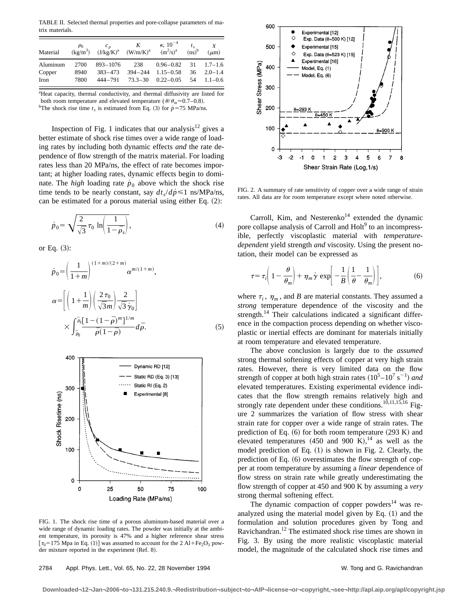TABLE II. Selected thermal properties and pore-collapse parameters of matrix materials.

| Material | $\rho_0$ | $c_n$<br>$(kg/m^3)$ $(J/kg/K)^a$ $(W/m/K)^a$ $(m^2/s)^a$ | K   | $\kappa$ , 10 <sup>-4</sup> | $(ns)^b$ | X<br>$(\mu m)$     |
|----------|----------|----------------------------------------------------------|-----|-----------------------------|----------|--------------------|
| Aluminum | 2700     | $893 - 1076$                                             | 238 | $0.96 - 0.82$               |          | $31 \quad 1.7-1.6$ |
| Copper   | 8940     | $383 - 473$                                              |     | $394 - 244$ 1.15 - 0.58     | 36       | $2.0 - 1.4$        |
| Iron     | 7800     | $444 - 791$ $73.3 - 30$                                  |     | $0.22 - 0.05$               | .54      | $1.1 - 0.6$        |

<sup>a</sup>Heat capacity, thermal conductivity, and thermal diffusivity are listed for both room temperature and elevated temperature ( $\theta/\theta_m \approx 0.7$ –0.8). <sup>b</sup>The shock rise time  $t_s$  is estimated from Eq. (3) for  $\dot{p} = 75 \text{ MPa/ns.}$ 

Inspection of Fig. 1 indicates that our analysis $12$  gives a better estimate of shock rise times over a wide range of loading rates by including both dynamic effects *and* the rate dependence of flow strength of the matrix material. For loading rates less than 20 MPa/ns, the effect of rate becomes important; at higher loading rates, dynamic effects begin to dominate. The *high* loading rate  $p<sub>0</sub>$  above which the shock rise time tends to be nearly constant, say  $dt_s/d\dot{p} \le 1$  ns/MPa/ns, can be estimated for a porous material using either Eq.  $(2)$ :

$$
\dot{p}_0 = \sqrt{\frac{2}{\sqrt{3}}\,\tau_0\,\ln\!\left(\frac{1}{1-\bar{\rho}_s}\right)},\tag{4}
$$

or Eq.  $(3)$ :

$$
\dot{p}_0 = \left(\frac{1}{1+m}\right)^{(1+m)/(2+m)} \alpha^{m/(1+m)},
$$
\n
$$
\alpha = \left[\left(1+\frac{1}{m}\right)\left(\frac{2\tau_0}{\sqrt{3}m}\right)\frac{2}{\sqrt{3}\gamma_0}\right]
$$
\n
$$
\times \int_{\bar{\rho}_0}^{\bar{\rho}_s} \frac{[1-(1-\bar{\rho})^m]^{1/m}}{\bar{\rho}(1-\bar{\rho})} d\bar{\rho}.
$$
\n(5)



FIG. 1. The shock rise time of a porous aluminum-based material over a wide range of dynamic loading rates. The powder was initially at the ambient temperature, its porosity is 47% and a higher reference shear stress  $[\tau_0=175 \text{ Mpa in Eq. (1)}]$  was assumed to account for the 2 Al+Fe<sub>2</sub>O<sub>3</sub> powder mixture reported in the experiment  $(Ref. 8)$ .



FIG. 2. A summary of rate sensitivity of copper over a wide range of strain rates. All data are for room temperature except where noted otherwise.

Carroll, Kim, and Nesterenko<sup>14</sup> extended the dynamic pore collapse analysis of Carroll and Holt<sup>9</sup> to an incompressible, perfectly viscoplastic material with *temperaturedependent* yield strength *and* viscosity. Using the present notation, their model can be expressed as

$$
\tau = \tau_i \bigg( 1 - \frac{\theta}{\theta_m} \bigg) + \eta_m \dot{\gamma} \exp \bigg[ -\frac{1}{B} \bigg( \frac{1}{\theta} - \frac{1}{\theta_m} \bigg) \bigg], \tag{6}
$$

where  $\tau_i$ ,  $\eta_m$ , and *B* are material constants. They assumed a *strong* temperature dependence of the viscosity and the strength. $^{14}$  Their calculations indicated a significant difference in the compaction process depending on whether viscoplastic or inertial effects are dominant for materials initially at room temperature and elevated temperature.

The above conclusion is largely due to the *assumed* strong thermal softening effects of copper at very high strain rates. However, there is very limited data on the flow strength of copper at both high strain rates  $(10^5 - 10^7 \text{ s}^{-1})$  and elevated temperatures. Existing experimental evidence indicates that the flow strength remains relatively high and strongly rate dependent under these conditions.<sup>10,11,15,16</sup> Figure 2 summarizes the variation of flow stress with shear strain rate for copper over a wide range of strain rates. The prediction of Eq.  $(6)$  for both room temperature  $(293 K)$  and elevated temperatures (450 and 900 K),<sup>14</sup> as well as the model prediction of Eq.  $(1)$  is shown in Fig. 2. Clearly, the prediction of Eq.  $(6)$  overestimates the flow strength of copper at room temperature by assuming a *linear* dependence of flow stress on strain rate while greatly underestimating the flow strength of copper at 450 and 900 K by assuming a *very* strong thermal softening effect.

The dynamic compaction of copper powders $14$  was reanalyzed using the material model given by Eq.  $(1)$  and the formulation and solution procedures given by Tong and Ravichandran.12 The estimated shock rise times are shown in Fig. 3. By using the more realistic viscoplastic material model, the magnitude of the calculated shock rise times and